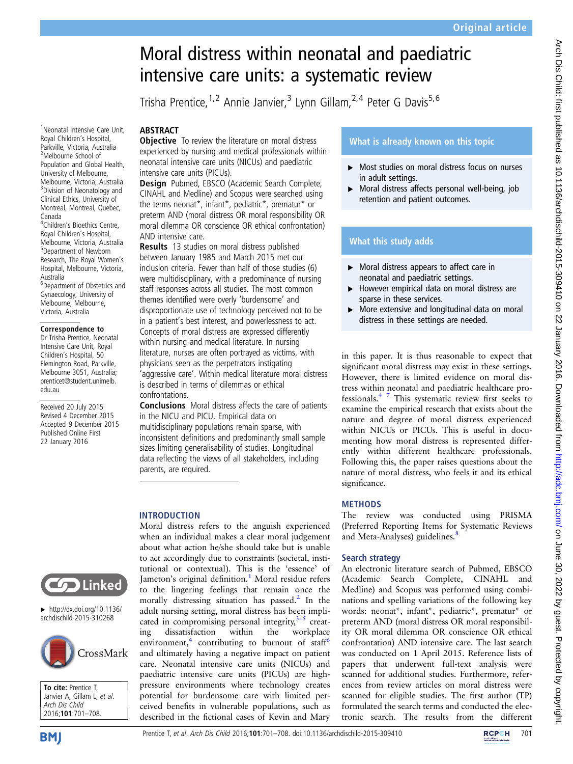# Moral distress within neonatal and paediatric intensive care units: a systematic review

Trisha Prentice, <sup>1,2</sup> Annie Janvier,<sup>3</sup> Lynn Gillam, <sup>2,4</sup> Peter G Davis<sup>5,6</sup>

## ABSTRACT

<sup>1</sup> Neonatal Intensive Care Unit, Royal Children's Hospital, Parkville, Victoria, Australia 2 Melbourne School of Population and Global Health, University of Melbourne, Melbourne, Victoria, Australia <sup>3</sup> Division of Neonatology and Clinical Ethics, University of Montreal, Montreal, Quebec,

4 Children's Bioethics Centre, Royal Children's Hospital, Melbourne, Victoria, Australia 5 Department of Newborn Research, The Royal Women's Hospital, Melbourne, Victoria,

6 Department of Obstetrics and Gynaecology, University of Melbourne, Melbourne, Victoria, Australia Correspondence to Dr Trisha Prentice, Neonatal Intensive Care Unit, Royal Children's Hospital, 50 Flemington Road, Parkville, Melbourne 3051, Australia; prenticet@student.unimelb.

Canada

Australia

edu.au

Received 20 July 2015 Revised 4 December 2015 Accepted 9 December 2015 Published Online First 22 January 2016

**Objective** To review the literature on moral distress experienced by nursing and medical professionals within neonatal intensive care units (NICUs) and paediatric intensive care units (PICUs).

Design Pubmed, EBSCO (Academic Search Complete, CINAHL and Medline) and Scopus were searched using the terms neonat\*, infant\*, pediatric\*, prematur\* or preterm AND (moral distress OR moral responsibility OR moral dilemma OR conscience OR ethical confrontation) AND intensive care.

Results 13 studies on moral distress published between January 1985 and March 2015 met our inclusion criteria. Fewer than half of those studies (6) were multidisciplinary, with a predominance of nursing staff responses across all studies. The most common themes identified were overly 'burdensome' and disproportionate use of technology perceived not to be in a patient's best interest, and powerlessness to act. Concepts of moral distress are expressed differently within nursing and medical literature. In nursing literature, nurses are often portrayed as victims, with physicians seen as the perpetrators instigating 'aggressive care'. Within medical literature moral distress is described in terms of dilemmas or ethical confrontations.

Conclusions Moral distress affects the care of patients in the NICU and PICU. Empirical data on multidisciplinary populations remain sparse, with inconsistent definitions and predominantly small sample sizes limiting generalisability of studies. Longitudinal data reflecting the views of all stakeholders, including parents, are required.

# INTRODUCTION

Moral distress refers to the anguish experienced when an individual makes a clear moral judgement about what action he/she should take but is unable to act accordingly due to constraints (societal, institutional or contextual). This is the 'essence' of Jameton's original definition.<sup>[1](#page-7-0)</sup> Moral residue refers to the lingering feelings that remain once the morally distressing situation has passed. $<sup>2</sup>$  In the</sup> adult nursing setting, moral distress has been implicated in compromising personal integrity, $3-5$  creating dissatisfaction within the workplace environment,<sup>4</sup> contributing to burnout of staff<sup>[6](#page-7-0)</sup> and ultimately having a negative impact on patient care. Neonatal intensive care units (NICUs) and paediatric intensive care units (PICUs) are highpressure environments where technology creates potential for burdensome care with limited perceived benefits in vulnerable populations, such as described in the fictional cases of Kevin and Mary

# What is already known on this topic

- ▸ Most studies on moral distress focus on nurses in adult settings.
- ▶ Moral distress affects personal well-being, job retention and patient outcomes.

# What this study adds

- ▸ Moral distress appears to affect care in neonatal and paediatric settings.
- ▸ However empirical data on moral distress are sparse in these services.
- $\triangleright$  More extensive and longitudinal data on moral distress in these settings are needed.

in this paper. It is thus reasonable to expect that significant moral distress may exist in these settings. However, there is limited evidence on moral distress within neonatal and paediatric healthcare professionals.[4 7](#page-7-0) This systematic review first seeks to examine the empirical research that exists about the nature and degree of moral distress experienced within NICUs or PICUs. This is useful in documenting how moral distress is represented differently within different healthcare professionals. Following this, the paper raises questions about the nature of moral distress, who feels it and its ethical significance.

# **METHODS**

The review was conducted using PRISMA (Preferred Reporting Items for Systematic Reviews and Meta-Analyses) guidelines.<sup>8</sup>

#### Search strategy

An electronic literature search of Pubmed, EBSCO (Academic Search Complete, CINAHL and Medline) and Scopus was performed using combinations and spelling variations of the following key words: neonat\*, infant\*, pediatric\*, prematur\* or preterm AND (moral distress OR moral responsibility OR moral dilemma OR conscience OR ethical confrontation) AND intensive care. The last search was conducted on 1 April 2015. Reference lists of papers that underwent full-text analysis were scanned for additional studies. Furthermore, references from review articles on moral distress were scanned for eligible studies. The first author (TP) formulated the search terms and conducted the electronic search. The results from the different

**Solution Linked** 

#### $\blacktriangleright$  [http://dx.doi.org/10.1136/](http://dx.doi.org/10.1136/archdischild-2015-310268) [archdischild-2015-310268](http://dx.doi.org/10.1136/archdischild-2015-310268)





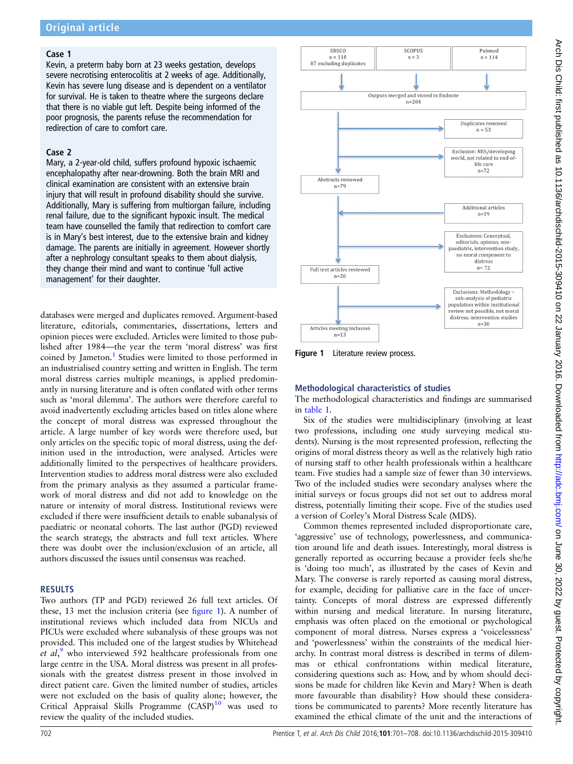## Case 1

Kevin, a preterm baby born at 23 weeks gestation, develops severe necrotising enterocolitis at 2 weeks of age. Additionally, Kevin has severe lung disease and is dependent on a ventilator for survival. He is taken to theatre where the surgeons declare that there is no viable gut left. Despite being informed of the poor prognosis, the parents refuse the recommendation for redirection of care to comfort care.

## Case 2

Mary, a 2-year-old child, suffers profound hypoxic ischaemic encephalopathy after near-drowning. Both the brain MRI and clinical examination are consistent with an extensive brain injury that will result in profound disability should she survive. Additionally, Mary is suffering from multiorgan failure, including renal failure, due to the significant hypoxic insult. The medical team have counselled the family that redirection to comfort care is in Mary's best interest, due to the extensive brain and kidney damage. The parents are initially in agreement. However shortly after a nephrology consultant speaks to them about dialysis, they change their mind and want to continue 'full active management' for their daughter.

databases were merged and duplicates removed. Argument-based literature, editorials, commentaries, dissertations, letters and opinion pieces were excluded. Articles were limited to those published after 1984—the year the term 'moral distress' was first coined by Jameton.<sup>[1](#page-7-0)</sup> Studies were limited to those performed in an industrialised country setting and written in English. The term moral distress carries multiple meanings, is applied predominantly in nursing literature and is often conflated with other terms such as 'moral dilemma'. The authors were therefore careful to avoid inadvertently excluding articles based on titles alone where the concept of moral distress was expressed throughout the article. A large number of key words were therefore used, but only articles on the specific topic of moral distress, using the definition used in the introduction, were analysed. Articles were additionally limited to the perspectives of healthcare providers. Intervention studies to address moral distress were also excluded from the primary analysis as they assumed a particular framework of moral distress and did not add to knowledge on the nature or intensity of moral distress. Institutional reviews were excluded if there were insufficient details to enable subanalysis of paediatric or neonatal cohorts. The last author (PGD) reviewed the search strategy, the abstracts and full text articles. Where there was doubt over the inclusion/exclusion of an article, all authors discussed the issues until consensus was reached.

#### RESULTS

Two authors (TP and PGD) reviewed 26 full text articles. Of these, 13 met the inclusion criteria (see figure 1). A number of institutional reviews which included data from NICUs and PICUs were excluded where subanalysis of these groups was not provided. This included one of the largest studies by Whitehead et al,<sup>[9](#page-7-0)</sup> who interviewed 592 healthcare professionals from one large centre in the USA. Moral distress was present in all professionals with the greatest distress present in those involved in direct patient care. Given the limited number of studies, articles were not excluded on the basis of quality alone; however, the Critical Appraisal Skills Programme  $(CASP)^{10}$  $(CASP)^{10}$  $(CASP)^{10}$  was used to review the quality of the included studies.



Figure 1 Literature review process.

# Methodological characteristics of studies

The methodological characteristics and findings are summarised in [table 1.](#page-2-0)

Six of the studies were multidisciplinary (involving at least two professions, including one study surveying medical students). Nursing is the most represented profession, reflecting the origins of moral distress theory as well as the relatively high ratio of nursing staff to other health professionals within a healthcare team. Five studies had a sample size of fewer than 30 interviews. Two of the included studies were secondary analyses where the initial surveys or focus groups did not set out to address moral distress, potentially limiting their scope. Five of the studies used a version of Corley's Moral Distress Scale (MDS).

Common themes represented included disproportionate care, 'aggressive' use of technology, powerlessness, and communication around life and death issues. Interestingly, moral distress is generally reported as occurring because a provider feels she/he is 'doing too much', as illustrated by the cases of Kevin and Mary. The converse is rarely reported as causing moral distress, for example, deciding for palliative care in the face of uncertainty. Concepts of moral distress are expressed differently within nursing and medical literature. In nursing literature, emphasis was often placed on the emotional or psychological component of moral distress. Nurses express a 'voicelessness' and 'powerlessness' within the constraints of the medical hierarchy. In contrast moral distress is described in terms of dilemmas or ethical confrontations within medical literature, considering questions such as: How, and by whom should decisions be made for children like Kevin and Mary? When is death more favourable than disability? How should these considerations be communicated to parents? More recently literature has examined the ethical climate of the unit and the interactions of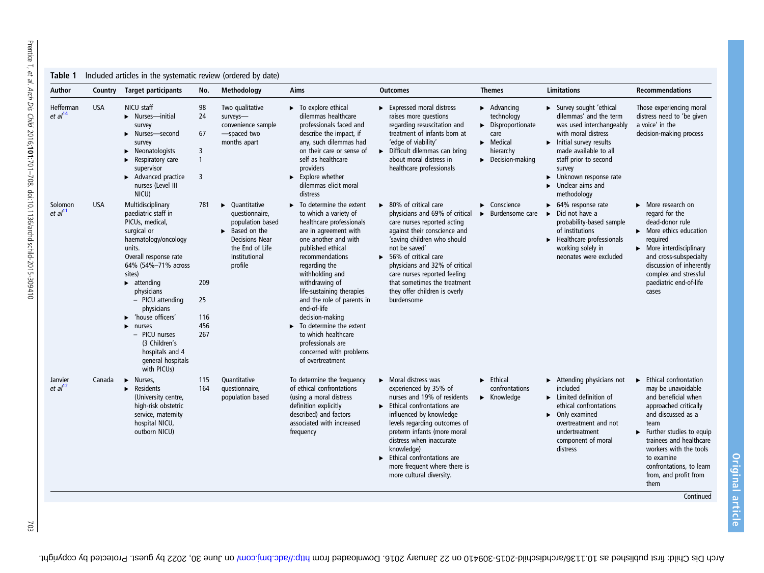<span id="page-2-0"></span>

| Author                           | Country    | <b>Target participants</b>                                                                                                                                                                                                                                                                                                                                                                                                      | No.                                      | Methodology                                                                                                                                                         | Aims                                                                                                                                                                                                                                                                                                                                                                                                                                                                 | <b>Outcomes</b>                                                                                                                                                                                                                                                                                                                                                                       | <b>Themes</b>                                                                                                                                                      | <b>Limitations</b>                                                                                                                                                                                                                                                            | <b>Recommendations</b>                                                                                                                                                                                                                                                                                                |
|----------------------------------|------------|---------------------------------------------------------------------------------------------------------------------------------------------------------------------------------------------------------------------------------------------------------------------------------------------------------------------------------------------------------------------------------------------------------------------------------|------------------------------------------|---------------------------------------------------------------------------------------------------------------------------------------------------------------------|----------------------------------------------------------------------------------------------------------------------------------------------------------------------------------------------------------------------------------------------------------------------------------------------------------------------------------------------------------------------------------------------------------------------------------------------------------------------|---------------------------------------------------------------------------------------------------------------------------------------------------------------------------------------------------------------------------------------------------------------------------------------------------------------------------------------------------------------------------------------|--------------------------------------------------------------------------------------------------------------------------------------------------------------------|-------------------------------------------------------------------------------------------------------------------------------------------------------------------------------------------------------------------------------------------------------------------------------|-----------------------------------------------------------------------------------------------------------------------------------------------------------------------------------------------------------------------------------------------------------------------------------------------------------------------|
| Hefferman<br>et al <sup>14</sup> | <b>USA</b> | NICU staff<br>$\blacktriangleright$ Nurses-initial<br>survey<br>• Nurses-second<br>survey<br>$\blacktriangleright$ Neonatologists<br>$\blacktriangleright$ Respiratory care<br>supervisor<br>$\blacktriangleright$ Advanced practice<br>nurses (Level III<br>NICU)                                                                                                                                                              | 98<br>24<br>67<br>3<br>$\mathbf{1}$<br>3 | Two qualitative<br>surveys-<br>convenience sample<br>-spaced two<br>months apart                                                                                    | $\blacktriangleright$ To explore ethical<br>dilemmas healthcare<br>professionals faced and<br>describe the impact, if<br>any, such dilemmas had<br>on their care or sense of<br>self as healthcare<br>providers<br>$\blacktriangleright$ Explore whether<br>dilemmas elicit moral<br>distress                                                                                                                                                                        | $\blacktriangleright$ Expressed moral distress<br>raises more questions<br>regarding resuscitation and<br>treatment of infants born at<br>'edge of viability'<br>Difficult dilemmas can bring<br>about moral distress in<br>healthcare professionals                                                                                                                                  | $\blacktriangleright$ Advancing<br>technology<br>> Disproportionate<br>care<br>$\blacktriangleright$ Medical<br>hierarchy<br>$\blacktriangleright$ Decision-making | Survey sought 'ethical<br>dilemmas' and the term<br>was used interchangeably<br>with moral distress<br>$\blacktriangleright$ Initial survey results<br>made available to all<br>staff prior to second<br>survey<br>> Unknown response rate<br>Unclear aims and<br>methodology | Those experiencing moral<br>distress need to 'be given<br>a voice' in the<br>decision-making process                                                                                                                                                                                                                  |
| Solomon<br>et al <sup>11</sup>   | <b>USA</b> | Multidisciplinary<br>paediatric staff in<br>PICUs, medical,<br>surgical or<br>haematology/oncology<br>units.<br>Overall response rate<br>64% (54%-71% across<br>sites)<br>$\blacktriangleright$ attending<br>physicians<br>- PICU attending<br>physicians<br>'house officers'<br>$\blacktriangleright$<br>$\blacktriangleright$ nurses<br>- PICU nurses<br>(3 Children's<br>hospitals and 4<br>general hospitals<br>with PICUs) | 781<br>209<br>25<br>116<br>456<br>267    | Quantitative<br>$\blacktriangleright$<br>questionnaire,<br>population based<br>Based on the<br><b>Decisions Near</b><br>the End of Life<br>Institutional<br>profile | $\blacktriangleright$ To determine the extent<br>to which a variety of<br>healthcare professionals<br>are in agreement with<br>one another and with<br>published ethical<br>recommendations<br>regarding the<br>withholding and<br>withdrawing of<br>life-sustaining therapies<br>and the role of parents in<br>end-of-life<br>decision-making<br>To determine the extent<br>to which healthcare<br>professionals are<br>concerned with problems<br>of overtreatment | $\triangleright$ 80% of critical care<br>physicians and 69% of critical<br>care nurses reported acting<br>against their conscience and<br>'saving children who should<br>not be saved'<br>$\blacktriangleright$ 56% of critical care<br>physicians and 32% of critical<br>care nurses reported feeling<br>that sometimes the treatment<br>they offer children is overly<br>burdensome | $\blacktriangleright$ Conscience<br>Burdensome care<br>$\blacktriangleright$                                                                                       | $\triangleright$ 64% response rate<br>Did not have a<br>$\blacksquare$<br>probability-based sample<br>of institutions<br>Healthcare professionals<br>working solely in<br>neonates were excluded                                                                              | • More research on<br>regard for the<br>dead-donor rule<br>$\blacktriangleright$ More ethics education<br>required<br>More interdisciplinary<br>and cross-subspecialty<br>discussion of inherently<br>complex and stressful<br>paediatric end-of-life<br>cases                                                        |
| Janvier<br>et al <sup>12</sup>   | Canada     | Nurses,<br>$\blacktriangleright$<br>Residents<br>ы<br>(University centre,<br>high-risk obstetric<br>service, maternity<br>hospital NICU,<br>outborn NICU)                                                                                                                                                                                                                                                                       | 115<br>164                               | Quantitative<br>questionnaire,<br>population based                                                                                                                  | To determine the frequency<br>of ethical confrontations<br>(using a moral distress<br>definition explicitly<br>described) and factors<br>associated with increased<br>frequency                                                                                                                                                                                                                                                                                      | $\blacktriangleright$ Moral distress was<br>experienced by 35% of<br>nurses and 19% of residents<br>$\blacktriangleright$ Ethical confrontations are<br>influenced by knowledge<br>levels regarding outcomes of<br>preterm infants (more moral<br>distress when inaccurate<br>knowledge)<br>Ethical confrontations are<br>more frequent where there is<br>more cultural diversity.    | $\blacktriangleright$ Ethical<br>confrontations<br>$\blacktriangleright$ Knowledge                                                                                 | $\blacktriangleright$ Attending physicians not<br>included<br>Elimited definition of<br>ethical confrontations<br>$\triangleright$ Only examined<br>overtreatment and not<br>undertreatment<br>component of moral<br>distress                                                 | <b>Ethical confrontation</b><br>$\blacktriangleright$<br>may be unavoidable<br>and beneficial when<br>approached critically<br>and discussed as a<br>team<br>Further studies to equip<br>trainees and healthcare<br>workers with the tools<br>to examine<br>confrontations, to learn<br>from, and profit from<br>them |

Arch Dis Child: first published as 10.1136/arch Dis Dis Dis Child: Downlosded from http://adc.bm/ on June 30, 2022 by guest. Protected by copyright.

Original article

Original article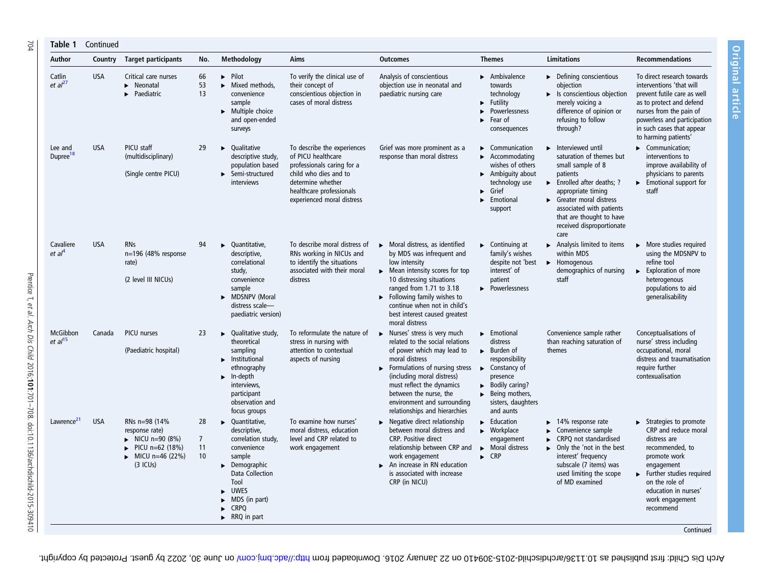| <b>Service Control</b> |  |  |
|------------------------|--|--|
|                        |  |  |
|                        |  |  |

| Author                          | Country    | <b>Target participants</b>                                                                 | No.            | Methodology                                                                                                                                                        | Aims                                                                                                                                                                                    | <b>Outcomes</b>                                                                       | <b>Themes</b>                                                                                                                                                                                   | <b>Limitations</b>                                                                                                                                                                                                                                                                          | <b>Recommendations</b>                                                                                                                                                                             |
|---------------------------------|------------|--------------------------------------------------------------------------------------------|----------------|--------------------------------------------------------------------------------------------------------------------------------------------------------------------|-----------------------------------------------------------------------------------------------------------------------------------------------------------------------------------------|---------------------------------------------------------------------------------------|-------------------------------------------------------------------------------------------------------------------------------------------------------------------------------------------------|---------------------------------------------------------------------------------------------------------------------------------------------------------------------------------------------------------------------------------------------------------------------------------------------|----------------------------------------------------------------------------------------------------------------------------------------------------------------------------------------------------|
| Catlin<br>et al <sup>27</sup>   | <b>USA</b> | Critical care nurses<br>$\blacktriangleright$ Neonatal<br>$\blacktriangleright$ Paediatric | 66<br>53<br>13 | $\blacktriangleright$ Pilot<br>$\blacktriangleright$ Mixed methods.<br>convenience<br>sample<br>$\blacktriangleright$ Multiple choice<br>and open-ended<br>surveys | To verify the clinical use of<br>their concept of<br>conscientious objection in<br>cases of moral distress                                                                              | Analysis of conscientious<br>objection use in neonatal and<br>paediatric nursing care | $\blacktriangleright$ Ambivalence<br>towards<br>technology<br>Futility<br>►<br>Powerlessness<br>Fear of<br>►<br>consequences                                                                    | $\blacktriangleright$ Defining conscientious<br>objection<br>$\blacktriangleright$ Is conscientious objection<br>merely voicing a<br>difference of opinion or<br>refusing to follow<br>through?                                                                                             | To direct research to<br>interventions 'that w<br>prevent futile care as<br>as to protect and def<br>nurses from the pain<br>powerless and partic<br>in such cases that ap<br>to harming patients' |
| Lee and<br>Dupree <sup>18</sup> | <b>USA</b> | PICU staff<br>(multidisciplinary)<br>(Single centre PICU)                                  | 29             | • Qualitative<br>descriptive study,<br>population based<br>▶ Semi-structured<br>interviews                                                                         | To describe the experiences<br>of PICU healthcare<br>professionals caring for a<br>child who dies and to<br>determine whether<br>healthcare professionals<br>experienced moral distress | Grief was more prominent as a<br>response than moral distress                         | $\blacktriangleright$ Communication<br>$\blacktriangleright$ Accommodating<br>wishes of others<br>$\blacktriangleright$ Ambiguity about<br>technology use<br>Grief<br>▶<br>Emotional<br>support | Interviewed until<br>saturation of themes but<br>small sample of 8<br>patients<br>$\blacktriangleright$ Enrolled after deaths; ?<br>appropriate timing<br>$\blacktriangleright$ Greater moral distress<br>associated with patients<br>that are thought to have<br>received disproportionate | $\blacktriangleright$ Communication;<br>interventions to<br>improve availabil<br>physicians to par<br><b>Emotional suppo</b><br>►<br>staff                                                         |

To direct research towards interventions 'that will tion Original article

**Original article** 

**Continued** 

|                                 |            | $\blacktriangleright$ Paediatric                                                                                                                 | 13                  | convenience<br>sample<br>Multiple choice<br>and open-ended<br>surveys                                                                                                                                                         | conscientious objection in<br>cases of moral distress                                                                                                                                   | paediatric nursing care                                                                                                                                                                                                                                                                                                            | technology<br>Futility<br>Powerlessness<br>Fear of<br>consequences                                                                                                                                        | $\blacktriangleright$ Is conscientious objection<br>merely voicing a<br>difference of opinion or<br>refusing to follow<br>through?                                                                                                                                                                  | prevent futile care as well<br>as to protect and defend<br>nurses from the pain of<br>powerless and participation<br>in such cases that appear<br>to harming patients'                                                                                           |
|---------------------------------|------------|--------------------------------------------------------------------------------------------------------------------------------------------------|---------------------|-------------------------------------------------------------------------------------------------------------------------------------------------------------------------------------------------------------------------------|-----------------------------------------------------------------------------------------------------------------------------------------------------------------------------------------|------------------------------------------------------------------------------------------------------------------------------------------------------------------------------------------------------------------------------------------------------------------------------------------------------------------------------------|-----------------------------------------------------------------------------------------------------------------------------------------------------------------------------------------------------------|-----------------------------------------------------------------------------------------------------------------------------------------------------------------------------------------------------------------------------------------------------------------------------------------------------|------------------------------------------------------------------------------------------------------------------------------------------------------------------------------------------------------------------------------------------------------------------|
| Lee and<br>Dupree <sup>18</sup> | <b>USA</b> | PICU staff<br>(multidisciplinary)<br>(Single centre PICU)                                                                                        | 29                  | Qualitative<br>▶<br>descriptive study,<br>population based<br>▶ Semi-structured<br>interviews                                                                                                                                 | To describe the experiences<br>of PICU healthcare<br>professionals caring for a<br>child who dies and to<br>determine whether<br>healthcare professionals<br>experienced moral distress | Grief was more prominent as a<br>response than moral distress                                                                                                                                                                                                                                                                      | • Communication<br>$\blacktriangleright$ Accommodating<br>wishes of others<br>$\blacktriangleright$ Ambiguity about<br>technology use<br>Grief<br>Emotional<br>support                                    | $\blacktriangleright$ Interviewed until<br>saturation of themes but<br>small sample of 8<br>patients<br>$\blacktriangleright$ Enrolled after deaths; ?<br>appropriate timing<br>Greater moral distress<br>associated with patients<br>that are thought to have<br>received disproportionate<br>care | $\blacktriangleright$ Communication;<br>interventions to<br>improve availability of<br>physicians to parents<br>$\blacktriangleright$ Emotional support for<br>staff                                                                                             |
| Cavaliere<br>et al <sup>4</sup> | <b>USA</b> | <b>RNs</b><br>n=196 (48% response<br>rate)<br>(2 level III NICUs)                                                                                | 94                  | Quantitative,<br>ы<br>descriptive,<br>correlational<br>study,<br>convenience<br>sample<br><b>MDSNPV (Moral</b><br>distress scale-<br>paediatric version)                                                                      | To describe moral distress of<br>RNs working in NICUs and<br>to identify the situations<br>associated with their moral<br>distress                                                      | Moral distress, as identified<br>by MDS was infrequent and<br>low intensity<br>$\blacktriangleright$ Mean intensity scores for top<br>10 distressing situations<br>ranged from 1.71 to 3.18<br>$\blacktriangleright$ Following family wishes to<br>continue when not in child's<br>best interest caused greatest<br>moral distress | $\blacktriangleright$ Continuing at<br>family's wishes<br>despite not 'best<br>interest' of<br>patient<br>• Powerlessness                                                                                 | $\blacktriangleright$ Analysis limited to items<br>within MDS<br>$\blacktriangleright$ Homogenous<br>demographics of nursing<br>staff                                                                                                                                                               | $\blacktriangleright$ More studies required<br>using the MDSNPV to<br>refine tool<br>$\blacktriangleright$ Exploration of more<br>heterogenous<br>populations to aid<br>generalisability                                                                         |
| McGibbon<br>et al <sup>15</sup> | Canada     | PICU nurses<br>(Paediatric hospital)                                                                                                             | 23                  | Qualitative study,<br>$\blacktriangleright$<br>theoretical<br>sampling<br>Institutional<br>ethnography<br>$\blacktriangleright$ In-depth<br>interviews,<br>participant<br>observation and<br>focus groups                     | To reformulate the nature of<br>stress in nursing with<br>attention to contextual<br>aspects of nursing                                                                                 | $\blacktriangleright$ Nurses' stress is very much<br>related to the social relations<br>of power which may lead to<br>moral distress<br>Formulations of nursing stress<br>(including moral distress)<br>must reflect the dynamics<br>between the nurse, the<br>environment and surrounding<br>relationships and hierarchies        | Emotional<br>distress<br>$\blacktriangleright$ Burden of<br>responsibility<br>$\blacktriangleright$ Constancy of<br>presence<br>Bodily caring?<br>Being mothers,<br>Þ.<br>sisters, daughters<br>and aunts | Convenience sample rather<br>than reaching saturation of<br>themes                                                                                                                                                                                                                                  | Conceptualisations of<br>nurse' stress including<br>occupational, moral<br>distress and traumatisation<br>require further<br>contexualisation                                                                                                                    |
| Lawrence <sup>21</sup>          | <b>USA</b> | RNs n=98 (14%<br>response rate)<br>$\triangleright$ NICU n=90 (8%)<br>$\blacktriangleright$ PICU n=62 (18%)<br>• MICU $n=46$ (22%)<br>$(3$ ICUs) | 28<br>7<br>11<br>10 | • Quantitative,<br>descriptive,<br>correlation study,<br>convenience<br>sample<br>$\blacktriangleright$ Demographic<br>Data Collection<br>Tool<br><b>UWES</b><br>MDS (in part)<br><b>CRPQ</b><br>$\triangleright$ RRQ in part | To examine how nurses'<br>moral distress, education<br>level and CRP related to<br>work engagement                                                                                      | $\blacktriangleright$ Negative direct relationship<br>between moral distress and<br><b>CRP.</b> Positive direct<br>relationship between CRP and<br>work engagement<br>An increase in RN education<br>is associated with increase<br>CRP (in NICU)                                                                                  | Education<br>$\blacktriangleright$ Workplace<br>engagement<br>Moral distress<br>$\triangleright$ CRP                                                                                                      | $\blacktriangleright$ 14% response rate<br>Convenience sample<br>$\blacktriangleright$ CRPQ not standardised<br>$\triangleright$ Only the 'not in the best<br>interest' frequency<br>subscale (7 items) was<br>used limiting the scope<br>of MD examined                                            | $\blacktriangleright$ Strategies to promote<br>CRP and reduce moral<br>distress are<br>recommended, to<br>promote work<br>engagement<br>$\blacktriangleright$ Further studies required<br>on the role of<br>education in nurses'<br>work engagement<br>recommend |

704

Table 1 Continued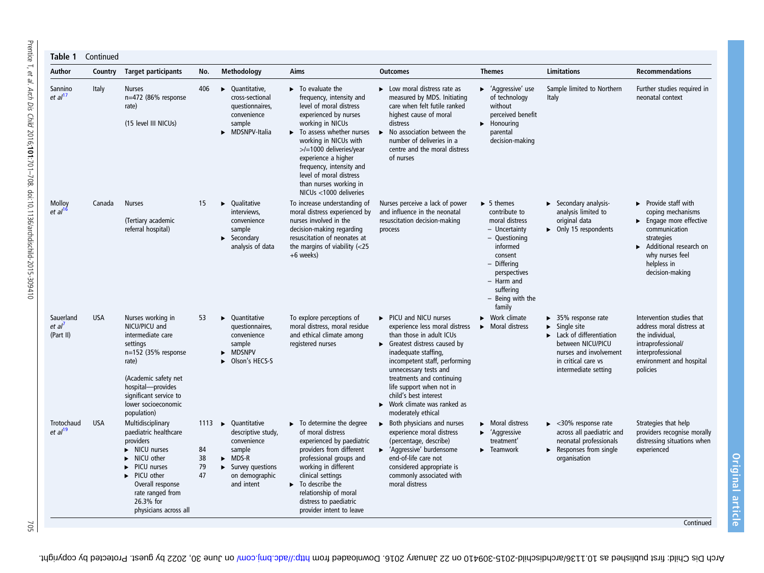| Table 1                                      | Continued  |                                                                                                                                                                                                                                        |                      |                                                                                                                                                            |                                                                                                                                                                                                                                                                                                                                                                                      |                                                                                                                                                                                                                                                                                                                                                                                  |                                                                                                                                                                                                                    |                                                                                                                                                                                                       |                                                                                                                                                                                                      |
|----------------------------------------------|------------|----------------------------------------------------------------------------------------------------------------------------------------------------------------------------------------------------------------------------------------|----------------------|------------------------------------------------------------------------------------------------------------------------------------------------------------|--------------------------------------------------------------------------------------------------------------------------------------------------------------------------------------------------------------------------------------------------------------------------------------------------------------------------------------------------------------------------------------|----------------------------------------------------------------------------------------------------------------------------------------------------------------------------------------------------------------------------------------------------------------------------------------------------------------------------------------------------------------------------------|--------------------------------------------------------------------------------------------------------------------------------------------------------------------------------------------------------------------|-------------------------------------------------------------------------------------------------------------------------------------------------------------------------------------------------------|------------------------------------------------------------------------------------------------------------------------------------------------------------------------------------------------------|
| Author                                       | Country    | <b>Target participants</b>                                                                                                                                                                                                             | No.                  | Methodology                                                                                                                                                | Aims                                                                                                                                                                                                                                                                                                                                                                                 | <b>Outcomes</b>                                                                                                                                                                                                                                                                                                                                                                  | <b>Themes</b>                                                                                                                                                                                                      | <b>Limitations</b>                                                                                                                                                                                    | <b>Recommendations</b>                                                                                                                                                                               |
| Sannino<br>et al <sup>17</sup>               | Italy      | <b>Nurses</b><br>n=472 (86% response<br>rate)<br>(15 level III NICUs)                                                                                                                                                                  | 406                  | $\blacktriangleright$ Quantitative,<br>cross-sectional<br>questionnaires,<br>convenience<br>sample<br>MDSNPV-Italia                                        | $\blacktriangleright$ To evaluate the<br>frequency, intensity and<br>level of moral distress<br>experienced by nurses<br>working in NICUs<br>$\blacktriangleright$ To assess whether nurses<br>working in NICUs with<br>$>$ /=1000 deliveries/year<br>experience a higher<br>frequency, intensity and<br>level of moral distress<br>than nurses working in<br>NICUs <1000 deliveries | $\blacktriangleright$ Low moral distress rate as<br>measured by MDS. Initiating<br>care when felt futile ranked<br>highest cause of moral<br>distress<br>No association between the<br>$\blacktriangleright$<br>number of deliveries in a<br>centre and the moral distress<br>of nurses                                                                                          | $\blacktriangleright$ 'Aggressive' use<br>of technology<br>without<br>perceived benefit<br>$\blacktriangleright$ Honouring<br>parental<br>decision-making                                                          | Sample limited to Northern<br>Italy                                                                                                                                                                   | Further studies required in<br>neonatal context                                                                                                                                                      |
| Molloy<br>et al <sup>16</sup>                | Canada     | <b>Nurses</b><br>(Tertiary academic<br>referral hospital)                                                                                                                                                                              | 15                   | Qualitative<br>Ы<br>interviews,<br>convenience<br>sample<br>$\blacktriangleright$ Secondary<br>analysis of data                                            | To increase understanding of<br>moral distress experienced by<br>nurses involved in the<br>decision-making regarding<br>resuscitation of neonates at<br>the margins of viability $(<25$<br>+6 weeks)                                                                                                                                                                                 | Nurses perceive a lack of power<br>and influence in the neonatal<br>resuscitation decision-making<br>process                                                                                                                                                                                                                                                                     | $\blacktriangleright$ 5 themes<br>contribute to<br>moral distress<br>- Uncertainty<br>- Questioning<br>informed<br>consent<br>- Differing<br>perspectives<br>- Harm and<br>suffering<br>- Being with the<br>family | $\triangleright$ Secondary analysis-<br>analysis limited to<br>original data<br>$\triangleright$ Only 15 respondents                                                                                  | $\blacktriangleright$ Provide staff with<br>coping mechanisms<br>Engage more effective<br>communication<br>strategies<br>Additional research on<br>why nurses feel<br>helpless in<br>decision-making |
| Sauerland<br>et al <sup>7</sup><br>(Part II) | <b>USA</b> | Nurses working in<br>NICU/PICU and<br>intermediate care<br>settings<br>n=152 (35% response<br>rate)<br>(Academic safety net<br>hospital-provides<br>significant service to<br>lower socioeconomic<br>population)                       | 53                   | • Quantitative<br>questionnaires,<br>convenience<br>sample<br><b>MDSNPV</b><br>Olson's HECS-S                                                              | To explore perceptions of<br>moral distress, moral residue<br>and ethical climate among<br>registered nurses                                                                                                                                                                                                                                                                         | PICU and NICU nurses<br>experience less moral distress<br>than those in adult ICUs<br>$\blacktriangleright$ Greatest distress caused by<br>inadequate staffing,<br>incompetent staff, performing<br>unnecessary tests and<br>treatments and continuing<br>life support when not in<br>child's best interest<br>$\triangleright$ Work climate was ranked as<br>moderately ethical | $\blacktriangleright$ Work climate<br>$\blacktriangleright$ Moral distress                                                                                                                                         | $\blacktriangleright$ 35% response rate<br>$\blacktriangleright$ Single site<br>Lack of differentiation<br>between NICU/PICU<br>nurses and involvement<br>in critical care vs<br>intermediate setting | Intervention studies that<br>address moral distress at<br>the individual.<br>intraprofessional/<br>interprofessional<br>environment and hospital<br>policies                                         |
| Trotochaud<br>et al <sup>19</sup>            | <b>USA</b> | Multidisciplinary<br>paediatric healthcare<br>providers<br>$\triangleright$ NICU nurses<br>NICU other<br>$\blacktriangleright$ PICU nurses<br>PICU other<br>Overall response<br>rate ranged from<br>26.3% for<br>physicians across all | 84<br>38<br>79<br>47 | 1113 ► Quantitative<br>descriptive study,<br>convenience<br>sample<br>MDS-R<br>▶<br>$\blacktriangleright$ Survey questions<br>on demographic<br>and intent | $\blacktriangleright$ To determine the degree<br>of moral distress<br>experienced by paediatric<br>providers from different<br>professional groups and<br>working in different<br>clinical settings<br>$\blacktriangleright$ To describe the<br>relationship of moral<br>distress to paediatric<br>provider intent to leave                                                          | $\triangleright$ Both physicians and nurses<br>experience moral distress<br>(percentage, describe)<br>Aggressive' burdensome<br>end-of-life care not<br>considered appropriate is<br>commonly associated with<br>moral distress                                                                                                                                                  | $\blacktriangleright$ Moral distress<br>$\blacktriangleright$ 'Aggressive<br>treatment'<br>$\blacktriangleright$ Teamwork                                                                                          | $\blacktriangleright$ <30% response rate<br>across all paediatric and<br>neonatal professionals<br>$\triangleright$ Responses from single<br>organisation                                             | Strategies that help<br>providers recognise morally<br>distressing situations when<br>experienced                                                                                                    |

**Continued** 

Original article

Original article

705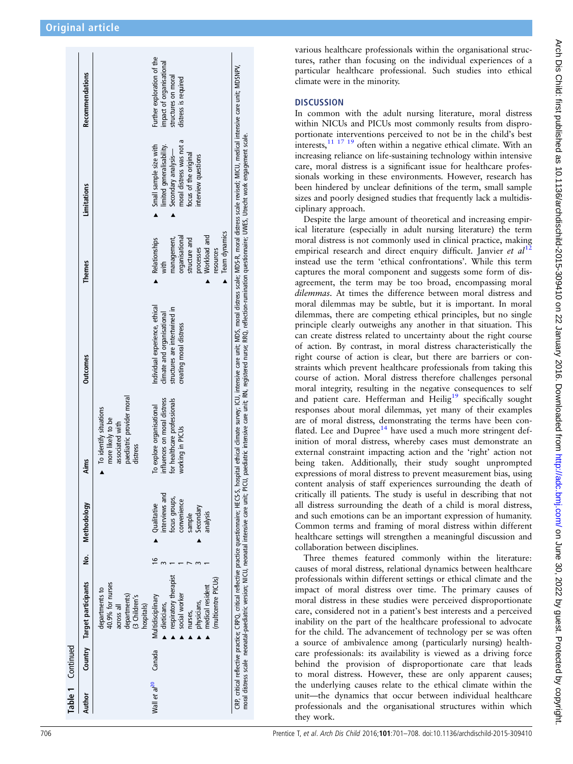| Table 1                  | Continued |                                                                                                 |   |                               |                                                                                                         |                                                                                                                                                                                                                                                                                                                                                                                                                                                            |                               |                                                       |                                                       |
|--------------------------|-----------|-------------------------------------------------------------------------------------------------|---|-------------------------------|---------------------------------------------------------------------------------------------------------|------------------------------------------------------------------------------------------------------------------------------------------------------------------------------------------------------------------------------------------------------------------------------------------------------------------------------------------------------------------------------------------------------------------------------------------------------------|-------------------------------|-------------------------------------------------------|-------------------------------------------------------|
| Author                   |           | Country Target participants                                                                     | ş | Methodology                   | Aims                                                                                                    | <b>Outcomes</b>                                                                                                                                                                                                                                                                                                                                                                                                                                            | Themes                        | Limitations                                           | Recommendations                                       |
|                          |           | 40.9% for nurses<br>departments to<br>departments)<br>(3 Children's<br>hospitals)<br>across all |   |                               | paediatric provider moral<br>To identify situations<br>more likely to be<br>associated with<br>distress |                                                                                                                                                                                                                                                                                                                                                                                                                                                            |                               |                                                       |                                                       |
| Wall et al <sup>20</sup> | Canada    | Multidisciplinary<br>dieticians,                                                                |   | interviews and<br>Qualitative | influences on moral distress<br>To explore organisational                                               | Individual experience, ethical<br>climate and organisational                                                                                                                                                                                                                                                                                                                                                                                               | Relationships<br>with         | > Small sample size with<br>limited generalisability. | Further exploration of the<br>mpact of organisational |
|                          |           | respiratory therapist<br>social worker                                                          |   | focus groups,<br>convenience  | for healthcare professionals<br>working in PICUs                                                        | structures are intertwined in<br>creating moral distress                                                                                                                                                                                                                                                                                                                                                                                                   | organisational<br>management, | moral distress was not a<br>Secondary analysis-       | structures on moral<br>distress is required           |
|                          |           | nurses,                                                                                         |   | sample                        |                                                                                                         |                                                                                                                                                                                                                                                                                                                                                                                                                                                            | structure and                 | focus of the original                                 |                                                       |
|                          |           | physicians,                                                                                     |   | Secondary                     |                                                                                                         |                                                                                                                                                                                                                                                                                                                                                                                                                                                            | processes                     | interview questions                                   |                                                       |
|                          |           | medical resident                                                                                |   | analysis                      |                                                                                                         |                                                                                                                                                                                                                                                                                                                                                                                                                                                            | Workload and                  |                                                       |                                                       |
|                          |           | (multicentre PICUs)                                                                             |   |                               |                                                                                                         |                                                                                                                                                                                                                                                                                                                                                                                                                                                            | resources                     |                                                       |                                                       |
|                          |           |                                                                                                 |   |                               |                                                                                                         |                                                                                                                                                                                                                                                                                                                                                                                                                                                            | Feam dynamics                 |                                                       |                                                       |
|                          |           |                                                                                                 |   |                               |                                                                                                         | CRP, critical reflective practice practice questionnaire; HECS-S, hospital ethical ethical ethical express vales, moral distness scale; Moral, moral distness scale revised; MICU, medical intensive care unit; MISSNPV,<br>moral distress scale neonatal-paediatric version; NICU, neonatal intensive care unit; PICU, paediatric intensive care unit; RN, registered nurse; RRQ, reflection-rumination questionnaire; UWES, Utrecht work engagement scal |                               |                                                       |                                                       |
|                          |           |                                                                                                 |   |                               |                                                                                                         |                                                                                                                                                                                                                                                                                                                                                                                                                                                            |                               |                                                       |                                                       |

various healthcare professionals within the organisational structures, rather than focusing on the individual experiences of a particular healthcare professional. Such studies into ethical climate were in the minority.

# **DISCUSSION**

In common with the adult nursing literature, moral distress within NICUs and PICUs most commonly results from disproportionate interventions perceived to not be in the child's best interests,[11 17 19](#page-7-0) often within a negative ethical climate. With an increasing reliance on life-sustaining technology within intensive care, moral distress is a significant issue for healthcare professionals working in these environments. However, research has been hindered by unclear definitions of the term, small sample sizes and poorly designed studies that frequently lack a multidisciplinary approach.

Despite the large amount of theoretical and increasing empirical literature (especially in adult nursing literature) the term moral distress is not commonly used in clinical practice, making empirical research and direct enquiry difficult. Janvier *et al*<sup>[12](#page-7-0)</sup> instead use the term 'ethical confrontations'. While this term captures the moral component and suggests some form of disagreement, the term may be too broad, encompassing moral dilemmas. At times the difference between moral distress and moral dilemmas may be subtle, but it is important. In moral dilemmas, there are competing ethical principles, but no single principle clearly outweighs any another in that situation. This can create distress related to uncertainty about the right course of action. By contrast, in moral distress characteristically the right course of action is clear, but there are barriers or constraints which prevent healthcare professionals from taking this course of action. Moral distress therefore challenges personal moral integrity, resulting in the negative consequences to self and patient care. Hefferman and Heilig<sup>[19](#page-7-0)</sup> specifically sought responses about moral dilemmas, yet many of their examples are of moral distress, demonstrating the terms have been conflated. Lee and Dupree<sup>14</sup> have used a much more stringent definition of moral distress, whereby cases must demonstrate an external constraint impacting action and the 'right' action not being taken. Additionally, their study sought unprompted expressions of moral distress to prevent measurement bias, using content analysis of staff experiences surrounding the death of critically ill patients. The study is useful in describing that not all distress surrounding the death of a child is moral distress, and such emotions can be an important expression of humanity. Common terms and framing of moral distress within different healthcare settings will strengthen a meaningful discussion and collaboration between disciplines.

Three themes featured commonly within the literature: causes of moral distress, relational dynamics between healthcare professionals within different settings or ethical climate and the impact of moral distress over time. The primary causes of moral distress in these studies were perceived disproportionate care, considered not in a patient's best interests and a perceived inability on the part of the healthcare professional to advocate for the child. The advancement of technology per se was often a source of ambivalence among (particularly nursing) healthcare professionals: its availability is viewed as a driving force behind the provision of disproportionate care that leads to moral distress. However, these are only apparent causes; the underlying causes relate to the ethical climate within the unit—the dynamics that occur between individual healthcare professionals and the organisational structures within which they work.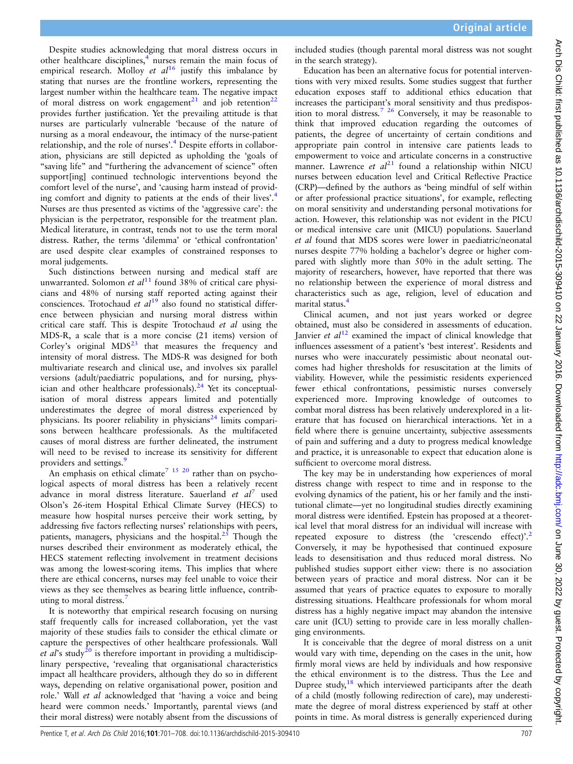Despite studies acknowledging that moral distress occurs in other healthcare disciplines,<sup>[4](#page-7-0)</sup> nurses remain the main focus of empirical research. Molloy et  $al^{16}$  $al^{16}$  $al^{16}$  justify this imbalance by stating that nurses are the frontline workers, representing the largest number within the healthcare team. The negative impact of moral distress on work engagement<sup>[21](#page-7-0)</sup> and job retention<sup>22</sup> provides further justification. Yet the prevailing attitude is that nurses are particularly vulnerable 'because of the nature of nursing as a moral endeavour, the intimacy of the nurse-patient relationship, and the role of nurses'.<sup>[4](#page-7-0)</sup> Despite efforts in collaboration, physicians are still depicted as upholding the 'goals of "saving life" and "furthering the advancement of science" often support[ing] continued technologic interventions beyond the comfort level of the nurse', and 'causing harm instead of providing comfort and dignity to patients at the ends of their lives'. [4](#page-7-0) Nurses are thus presented as victims of the 'aggressive care': the physician is the perpetrator, responsible for the treatment plan. Medical literature, in contrast, tends not to use the term moral distress. Rather, the terms 'dilemma' or 'ethical confrontation' are used despite clear examples of constrained responses to moral judgements.

Such distinctions between nursing and medical staff are unwarranted. Solomon et  $al<sup>11</sup>$  $al<sup>11</sup>$  $al<sup>11</sup>$  found 38% of critical care physicians and 48% of nursing staff reported acting against their consciences. Trotochaud et  $al^{19}$  $al^{19}$  $al^{19}$  also found no statistical difference between physician and nursing moral distress within critical care staff. This is despite Trotochaud et al using the MDS-R, a scale that is a more concise (21 items) version of Corley's original MDS<sup>23</sup> that measures the frequency and intensity of moral distress. The MDS-R was designed for both multivariate research and clinical use, and involves six parallel versions (adult/paediatric populations, and for nursing, physician and other healthcare professionals). $24$  Yet its conceptualisation of moral distress appears limited and potentially underestimates the degree of moral distress experienced by physicians. Its poorer reliability in physicians<sup>[24](#page-7-0)</sup> limits comparisons between healthcare professionals. As the multifaceted causes of moral distress are further delineated, the instrument will need to be revised to increase its sensitivity for different providers and settings.<sup>[9](#page-7-0)</sup>

An emphasis on ethical climate<sup>7</sup> <sup>15</sup> <sup>20</sup> rather than on psychological aspects of moral distress has been a relatively recent advance in moral distress literature. Sauerland et  $al^7$  $al^7$  used Olson's 26-item Hospital Ethical Climate Survey (HECS) to measure how hospital nurses perceive their work setting, by addressing five factors reflecting nurses' relationships with peers, patients, managers, physicians and the hospital. $^{25}$  $^{25}$  $^{25}$  Though the nurses described their environment as moderately ethical, the HECS statement reflecting involvement in treatment decisions was among the lowest-scoring items. This implies that where there are ethical concerns, nurses may feel unable to voice their views as they see themselves as bearing little influence, contrib-uting to moral distress.<sup>[7](#page-7-0)</sup>

It is noteworthy that empirical research focusing on nursing staff frequently calls for increased collaboration, yet the vast majority of these studies fails to consider the ethical climate or capture the perspectives of other healthcare professionals. Wall *et al's* study<sup>20</sup> is therefore important in providing a multidisciplinary perspective, 'revealing that organisational characteristics impact all healthcare providers, although they do so in different ways, depending on relative organisational power, position and role.' Wall et al acknowledged that 'having a voice and being heard were common needs.' Importantly, parental views (and their moral distress) were notably absent from the discussions of

included studies (though parental moral distress was not sought in the search strategy).

Education has been an alternative focus for potential interventions with very mixed results. Some studies suggest that further education exposes staff to additional ethics education that increases the participant's moral sensitivity and thus predisposition to moral distress[.7 26](#page-7-0) Conversely, it may be reasonable to think that improved education regarding the outcomes of patients, the degree of uncertainty of certain conditions and appropriate pain control in intensive care patients leads to empowerment to voice and articulate concerns in a constructive manner. Lawrence et  $al^{21}$  $al^{21}$  $al^{21}$  found a relationship within NICU nurses between education level and Critical Reflective Practice (CRP)—defined by the authors as 'being mindful of self within or after professional practice situations', for example, reflecting on moral sensitivity and understanding personal motivations for action. However, this relationship was not evident in the PICU or medical intensive care unit (MICU) populations. Sauerland et al found that MDS scores were lower in paediatric/neonatal nurses despite 77% holding a bachelor's degree or higher compared with slightly more than 50% in the adult setting. The majority of researchers, however, have reported that there was no relationship between the experience of moral distress and characteristics such as age, religion, level of education and marital status.<sup>[4](#page-7-0)</sup>

Clinical acumen, and not just years worked or degree obtained, must also be considered in assessments of education. Janvier et  $al<sup>12</sup>$  $al<sup>12</sup>$  $al<sup>12</sup>$  examined the impact of clinical knowledge that influences assessment of a patient's 'best interest'. Residents and nurses who were inaccurately pessimistic about neonatal outcomes had higher thresholds for resuscitation at the limits of viability. However, while the pessimistic residents experienced fewer ethical confrontations, pessimistic nurses conversely experienced more. Improving knowledge of outcomes to combat moral distress has been relatively underexplored in a literature that has focused on hierarchical interactions. Yet in a field where there is genuine uncertainty, subjective assessments of pain and suffering and a duty to progress medical knowledge and practice, it is unreasonable to expect that education alone is sufficient to overcome moral distress.

The key may be in understanding how experiences of moral distress change with respect to time and in response to the evolving dynamics of the patient, his or her family and the institutional climate—yet no longitudinal studies directly examining moral distress were identified. Epstein has proposed at a theoretical level that moral distress for an individual will increase with repeated exposure to distress (the 'crescendo effect)'.<sup>[2](#page-7-0)</sup> Conversely, it may be hypothesised that continued exposure leads to desensitisation and thus reduced moral distress. No published studies support either view: there is no association between years of practice and moral distress. Nor can it be assumed that years of practice equates to exposure to morally distressing situations. Healthcare professionals for whom moral distress has a highly negative impact may abandon the intensive care unit (ICU) setting to provide care in less morally challenging environments.

It is conceivable that the degree of moral distress on a unit would vary with time, depending on the cases in the unit, how firmly moral views are held by individuals and how responsive the ethical environment is to the distress. Thus the Lee and Dupree study, $18$  which interviewed participants after the death of a child (mostly following redirection of care), may underestimate the degree of moral distress experienced by staff at other points in time. As moral distress is generally experienced during